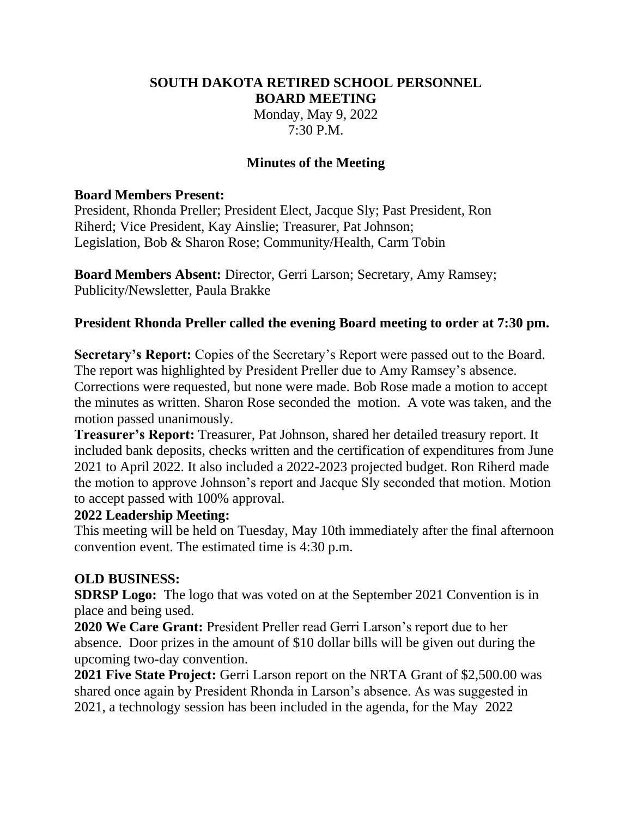#### **SOUTH DAKOTA RETIRED SCHOOL PERSONNEL BOARD MEETING**

Monday, May 9, 2022 7:30 P.M.

## **Minutes of the Meeting**

### **Board Members Present:**

President, Rhonda Preller; President Elect, Jacque Sly; Past President, Ron Riherd; Vice President, Kay Ainslie; Treasurer, Pat Johnson; Legislation, Bob & Sharon Rose; Community/Health, Carm Tobin

**Board Members Absent:** Director, Gerri Larson; Secretary, Amy Ramsey; Publicity/Newsletter, Paula Brakke

## **President Rhonda Preller called the evening Board meeting to order at 7:30 pm.**

**Secretary's Report:** Copies of the Secretary's Report were passed out to the Board. The report was highlighted by President Preller due to Amy Ramsey's absence. Corrections were requested, but none were made. Bob Rose made a motion to accept the minutes as written. Sharon Rose seconded the motion. A vote was taken, and the motion passed unanimously.

**Treasurer's Report:** Treasurer, Pat Johnson, shared her detailed treasury report. It included bank deposits, checks written and the certification of expenditures from June 2021 to April 2022. It also included a 2022-2023 projected budget. Ron Riherd made the motion to approve Johnson's report and Jacque Sly seconded that motion. Motion to accept passed with 100% approval.

## **2022 Leadership Meeting:**

This meeting will be held on Tuesday, May 10th immediately after the final afternoon convention event. The estimated time is 4:30 p.m.

# **OLD BUSINESS:**

**SDRSP Logo:** The logo that was voted on at the September 2021 Convention is in place and being used.

**2020 We Care Grant:** President Preller read Gerri Larson's report due to her absence. Door prizes in the amount of \$10 dollar bills will be given out during the upcoming two-day convention.

**2021 Five State Project:** Gerri Larson report on the NRTA Grant of \$2,500.00 was shared once again by President Rhonda in Larson's absence. As was suggested in 2021, a technology session has been included in the agenda, for the May 2022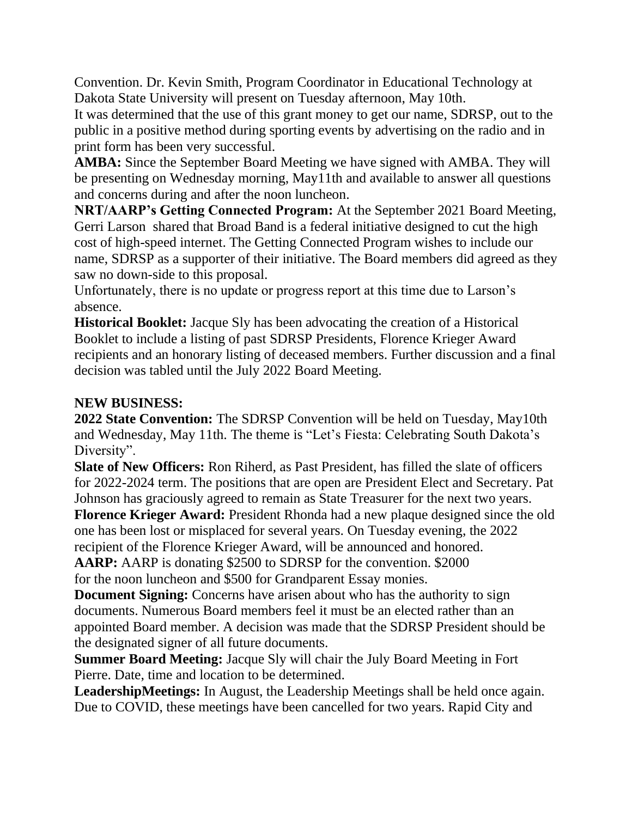Convention. Dr. Kevin Smith, Program Coordinator in Educational Technology at Dakota State University will present on Tuesday afternoon, May 10th.

It was determined that the use of this grant money to get our name, SDRSP, out to the public in a positive method during sporting events by advertising on the radio and in print form has been very successful.

**AMBA:** Since the September Board Meeting we have signed with AMBA. They will be presenting on Wednesday morning, May11th and available to answer all questions and concerns during and after the noon luncheon.

**NRT/AARP's Getting Connected Program:** At the September 2021 Board Meeting, Gerri Larson shared that Broad Band is a federal initiative designed to cut the high cost of high-speed internet. The Getting Connected Program wishes to include our name, SDRSP as a supporter of their initiative. The Board members did agreed as they saw no down-side to this proposal.

Unfortunately, there is no update or progress report at this time due to Larson's absence.

**Historical Booklet:** Jacque Sly has been advocating the creation of a Historical Booklet to include a listing of past SDRSP Presidents, Florence Krieger Award recipients and an honorary listing of deceased members. Further discussion and a final decision was tabled until the July 2022 Board Meeting.

# **NEW BUSINESS:**

**2022 State Convention:** The SDRSP Convention will be held on Tuesday, May10th and Wednesday, May 11th. The theme is "Let's Fiesta: Celebrating South Dakota's Diversity".

**Slate of New Officers:** Ron Riherd, as Past President, has filled the slate of officers for 2022-2024 term. The positions that are open are President Elect and Secretary. Pat Johnson has graciously agreed to remain as State Treasurer for the next two years.

**Florence Krieger Award:** President Rhonda had a new plaque designed since the old one has been lost or misplaced for several years. On Tuesday evening, the 2022 recipient of the Florence Krieger Award, will be announced and honored.

**AARP:** AARP is donating \$2500 to SDRSP for the convention. \$2000 for the noon luncheon and \$500 for Grandparent Essay monies.

**Document Signing:** Concerns have arisen about who has the authority to sign documents. Numerous Board members feel it must be an elected rather than an appointed Board member. A decision was made that the SDRSP President should be the designated signer of all future documents.

**Summer Board Meeting:** Jacque Sly will chair the July Board Meeting in Fort Pierre. Date, time and location to be determined.

**LeadershipMeetings:** In August, the Leadership Meetings shall be held once again. Due to COVID, these meetings have been cancelled for two years. Rapid City and